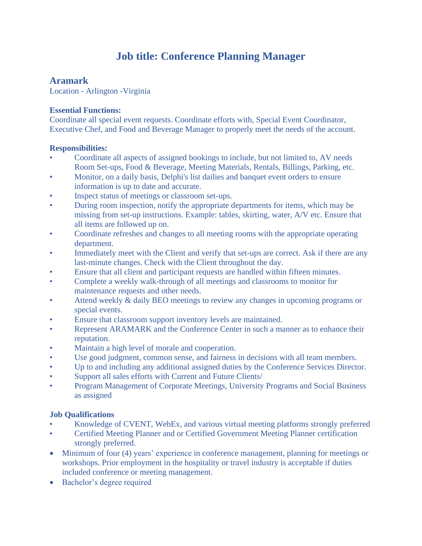# **Job title: Conference Planning Manager**

## **Aramark**

Location - Arlington -Virginia

### **Essential Functions:**

Coordinate all special event requests. Coordinate efforts with, Special Event Coordinator, Executive Chef, and Food and Beverage Manager to properly meet the needs of the account.

#### **Responsibilities:**

- Coordinate all aspects of assigned bookings to include, but not limited to, AV needs Room Set-ups, Food & Beverage, Meeting Materials, Rentals, Billings, Parking, etc.
- Monitor, on a daily basis, Delphi's list dailies and banquet event orders to ensure information is up to date and accurate.
- Inspect status of meetings or classroom set-ups.
- During room inspection, notify the appropriate departments for items, which may be missing from set-up instructions. Example: tables, skirting, water, A/V etc. Ensure that all items are followed up on.
- Coordinate refreshes and changes to all meeting rooms with the appropriate operating department.
- Immediately meet with the Client and verify that set-ups are correct. Ask if there are any last-minute changes. Check with the Client throughout the day.
- Ensure that all client and participant requests are handled within fifteen minutes.
- Complete a weekly walk-through of all meetings and classrooms to monitor for maintenance requests and other needs.
- Attend weekly & daily BEO meetings to review any changes in upcoming programs or special events.
- Ensure that classroom support inventory levels are maintained.
- Represent ARAMARK and the Conference Center in such a manner as to enhance their reputation.
- Maintain a high level of morale and cooperation.
- Use good judgment, common sense, and fairness in decisions with all team members.
- Up to and including any additional assigned duties by the Conference Services Director.
- Support all sales efforts with Current and Future Clients/
- Program Management of Corporate Meetings, University Programs and Social Business as assigned

### **Job Qualifications**

- Knowledge of CVENT, WebEx, and various virtual meeting platforms strongly preferred
- Certified Meeting Planner and or Certified Government Meeting Planner certification strongly preferred.
- Minimum of four (4) years' experience in conference management, planning for meetings or workshops. Prior employment in the hospitality or travel industry is acceptable if duties included conference or meeting management.
- Bachelor's degree required